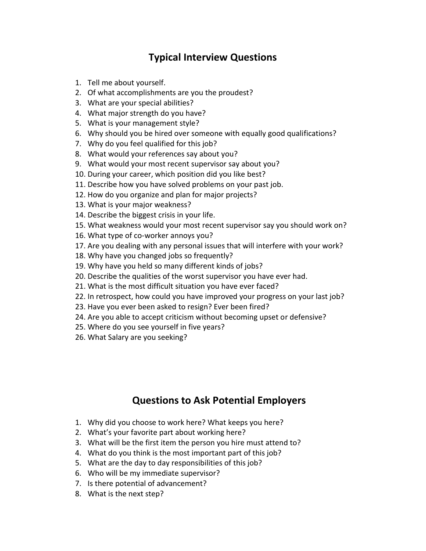## **Typical Interview Questions**

- 1. Tell me about yourself.
- 2. Of what accomplishments are you the proudest?
- 3. What are your special abilities?
- 4. What major strength do you have?
- 5. What is your management style?
- 6. Why should you be hired over someone with equally good qualifications?
- 7. Why do you feel qualified for this job?
- 8. What would your references say about you?
- 9. What would your most recent supervisor say about you?
- 10. During your career, which position did you like best?
- 11. Describe how you have solved problems on your past job.
- 12. How do you organize and plan for major projects?
- 13. What is your major weakness?
- 14. Describe the biggest crisis in your life.
- 15. What weakness would your most recent supervisor say you should work on?
- 16. What type of co-worker annoys you?
- 17. Are you dealing with any personal issues that will interfere with your work?
- 18. Why have you changed jobs so frequently?
- 19. Why have you held so many different kinds of jobs?
- 20. Describe the qualities of the worst supervisor you have ever had.
- 21. What is the most difficult situation you have ever faced?
- 22. In retrospect, how could you have improved your progress on your last job?
- 23. Have you ever been asked to resign? Ever been fired?
- 24. Are you able to accept criticism without becoming upset or defensive?
- 25. Where do you see yourself in five years?
- 26. What Salary are you seeking?

## **Questions to Ask Potential Employers**

- 1. Why did you choose to work here? What keeps you here?
- 2. What's your favorite part about working here?
- 3. What will be the first item the person you hire must attend to?
- 4. What do you think is the most important part of this job?
- 5. What are the day to day responsibilities of this job?
- 6. Who will be my immediate supervisor?
- 7. Is there potential of advancement?
- 8. What is the next step?